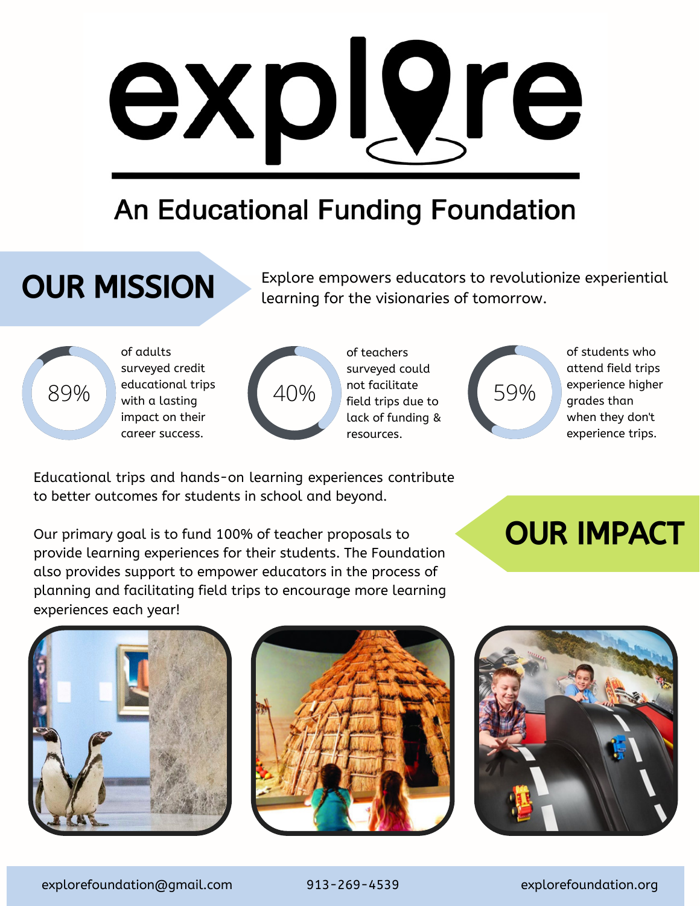

### **An Educational Funding Foundation**

# **OUR MISSION**

Explore empowers educators to revolutionize experiential learning for the visionaries of tomorrow.



89% with a lasting of adults surveyed credit educational trips impact on their educational trips<br>with a lasting<br>impact on their<br>career success.<br>the career success.



of teachers surveyed could not facilitate field trips due to lack of funding &



of students who attend field trips experience higher grades than when they don't experience trips.

Educational trips and hands-on learning experiences contribute to better outcomes for students in school and beyond.

Our primary goal is to fund 100% of teacher proposals to provide learning experiences for their students. The Foundation also provides support to empower educators in the process of planning and facilitating field trips to encourage more learning experiences each year!

# OUR IMPACT







explorefoundation@gmail.com 913-269-4539 explorefoundation.org